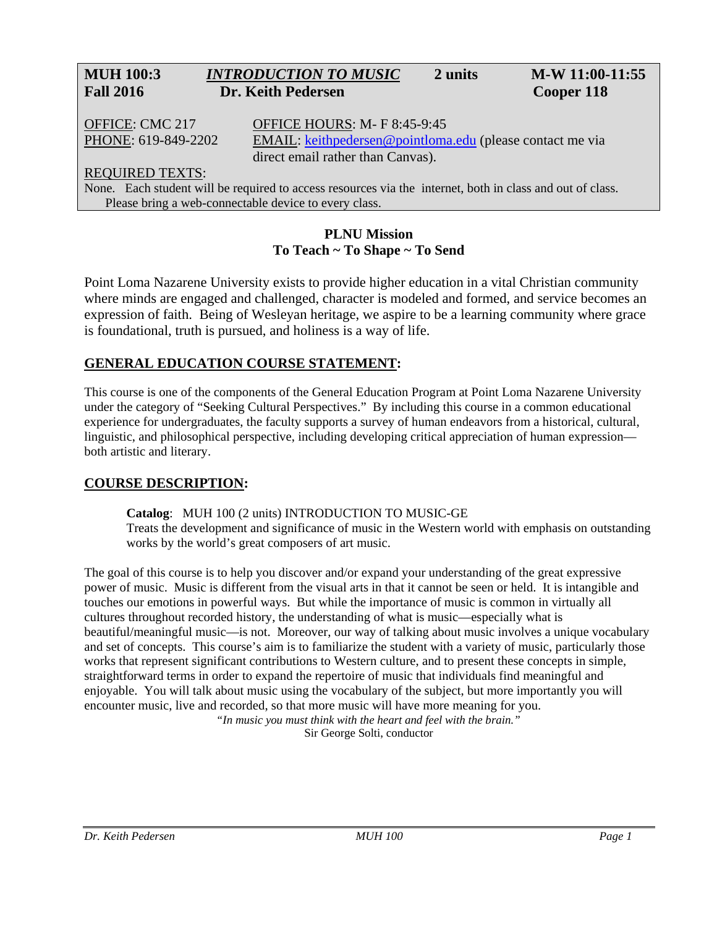# **MUH 100:3** *INTRODUCTION TO MUSIC* **2 units M-W 11:00-11:55 Fall 2016 Dr. Keith Pedersen Cooper 118**

OFFICE: CMC 217 OFFICE HOURS: M- F 8:45-9:45 PHONE: 619-849-2202 EMAIL: [keithpedersen@pointloma.edu](mailto:keithpedersen@pointloma.edu) (please contact me via direct email rather than Canvas).

## REQUIRED TEXTS:

None. Each student will be required to access resources via the internet, both in class and out of class. Please bring a web-connectable device to every class.

## **PLNU Mission To Teach ~ To Shape ~ To Send**

Point Loma Nazarene University exists to provide higher education in a vital Christian community where minds are engaged and challenged, character is modeled and formed, and service becomes an expression of faith. Being of Wesleyan heritage, we aspire to be a learning community where grace is foundational, truth is pursued, and holiness is a way of life.

# **GENERAL EDUCATION COURSE STATEMENT:**

This course is one of the components of the General Education Program at Point Loma Nazarene University under the category of "Seeking Cultural Perspectives." By including this course in a common educational experience for undergraduates, the faculty supports a survey of human endeavors from a historical, cultural, linguistic, and philosophical perspective, including developing critical appreciation of human expression both artistic and literary.

# **COURSE DESCRIPTION:**

**Catalog**: MUH 100 (2 units) INTRODUCTION TO MUSIC-GE Treats the development and significance of music in the Western world with emphasis on outstanding works by the world's great composers of art music.

The goal of this course is to help you discover and/or expand your understanding of the great expressive power of music. Music is different from the visual arts in that it cannot be seen or held. It is intangible and touches our emotions in powerful ways. But while the importance of music is common in virtually all cultures throughout recorded history, the understanding of what is music—especially what is beautiful/meaningful music—is not. Moreover, our way of talking about music involves a unique vocabulary and set of concepts. This course's aim is to familiarize the student with a variety of music, particularly those works that represent significant contributions to Western culture, and to present these concepts in simple, straightforward terms in order to expand the repertoire of music that individuals find meaningful and enjoyable. You will talk about music using the vocabulary of the subject, but more importantly you will encounter music, live and recorded, so that more music will have more meaning for you.

*"In music you must think with the heart and feel with the brain."* Sir George Solti, conductor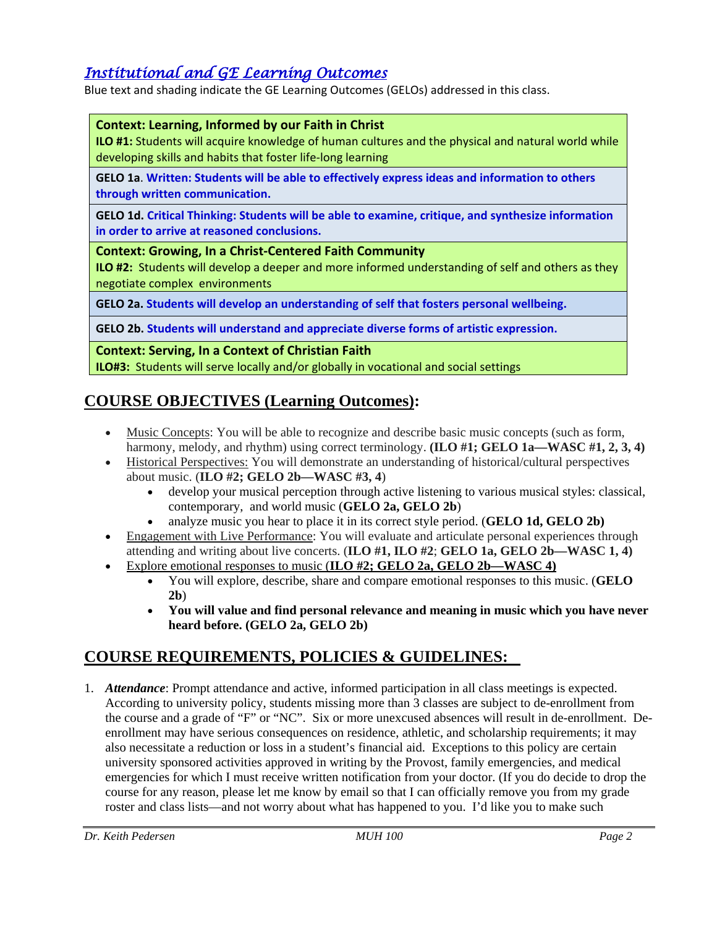# *Institutional and GE Learning Outcomes*

Blue text and shading indicate the GE Learning Outcomes (GELOs) addressed in this class.

## **Context: Learning, Informed by our Faith in Christ**

**ILO #1:** Students will acquire knowledge of human cultures and the physical and natural world while developing skills and habits that foster life-long learning

**GELO 1a**. **Written: Students will be able to effectively express ideas and information to others through written communication.**

**GELO 1d. Critical Thinking: Students will be able to examine, critique, and synthesize information in order to arrive at reasoned conclusions.**

**Context: Growing, In a Christ-Centered Faith Community**

**ILO #2:** Students will develop a deeper and more informed understanding of self and others as they negotiate complex environments

**GELO 2a. Students will develop an understanding of self that fosters personal wellbeing.** 

**GELO 2b. Students will understand and appreciate diverse forms of artistic expression.** 

**Context: Serving, In a Context of Christian Faith**

**ILO#3:** Students will serve locally and/or globally in vocational and social settings

# **COURSE OBJECTIVES (Learning Outcomes):**

- Music Concepts: You will be able to recognize and describe basic music concepts (such as form, harmony, melody, and rhythm) using correct terminology. **(ILO #1; GELO 1a—WASC #1, 2, 3, 4)**
- Historical Perspectives: You will demonstrate an understanding of historical/cultural perspectives about music. (**ILO #2; GELO 2b—WASC #3, 4**)
	- develop your musical perception through active listening to various musical styles: classical, contemporary, and world music (**GELO 2a, GELO 2b**)
	- analyze music you hear to place it in its correct style period. (**GELO 1d, GELO 2b)**
- Engagement with Live Performance: You will evaluate and articulate personal experiences through attending and writing about live concerts. (**ILO #1, ILO #2**; **GELO 1a, GELO 2b—WASC 1, 4)**
- Explore emotional responses to music (**ILO #2; GELO 2a, GELO 2b—WASC 4)**
	- You will explore, describe, share and compare emotional responses to this music. (**GELO 2b**)
	- **You will value and find personal relevance and meaning in music which you have never heard before. (GELO 2a, GELO 2b)**

# **COURSE REQUIREMENTS, POLICIES & GUIDELINES:**

1. *Attendance*: Prompt attendance and active, informed participation in all class meetings is expected. According to university policy, students missing more than 3 classes are subject to de-enrollment from the course and a grade of "F" or "NC". Six or more unexcused absences will result in de-enrollment. Deenrollment may have serious consequences on residence, athletic, and scholarship requirements; it may also necessitate a reduction or loss in a student's financial aid. Exceptions to this policy are certain university sponsored activities approved in writing by the Provost, family emergencies, and medical emergencies for which I must receive written notification from your doctor. (If you do decide to drop the course for any reason, please let me know by email so that I can officially remove you from my grade roster and class lists—and not worry about what has happened to you. I'd like you to make such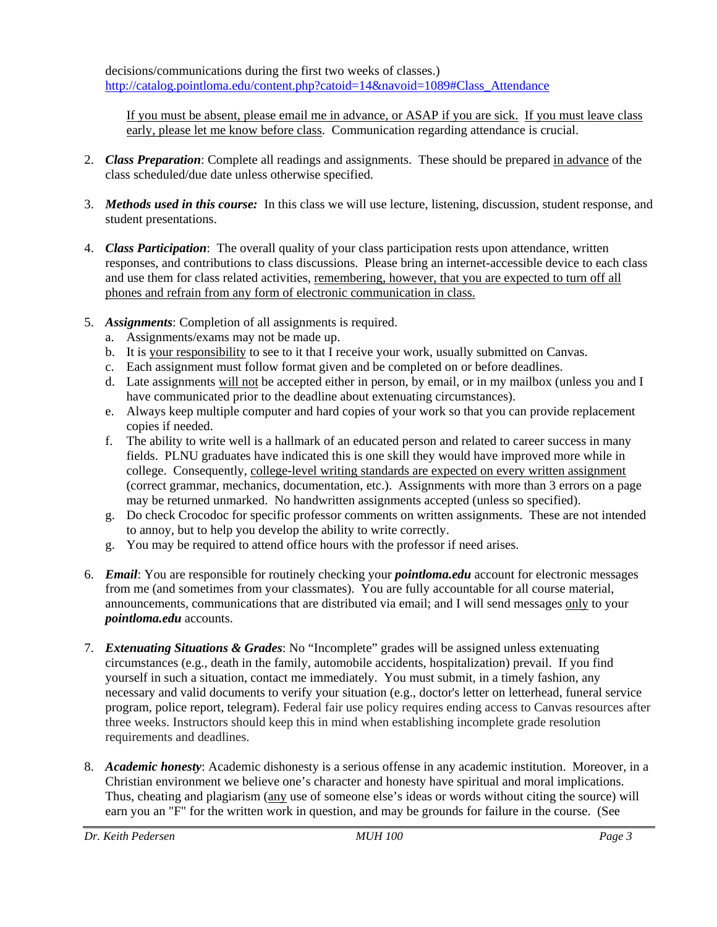decisions/communications during the first two weeks of classes.) [http://catalog.pointloma.edu/content.php?catoid=14&navoid=1089#Class\\_Attendance](http://catalog.pointloma.edu/content.php?catoid=14&navoid=1089#Class_Attendance)

If you must be absent, please email me in advance, or ASAP if you are sick. If you must leave class early, please let me know before class. Communication regarding attendance is crucial.

- 2. *Class Preparation*: Complete all readings and assignments. These should be prepared in advance of the class scheduled/due date unless otherwise specified.
- 3. *Methods used in this course:* In this class we will use lecture, listening, discussion, student response, and student presentations.
- 4. *Class Participation*: The overall quality of your class participation rests upon attendance, written responses, and contributions to class discussions. Please bring an internet-accessible device to each class and use them for class related activities, remembering, however, that you are expected to turn off all phones and refrain from any form of electronic communication in class.
- 5. *Assignments*: Completion of all assignments is required.
	- a. Assignments/exams may not be made up.
	- b. It is your responsibility to see to it that I receive your work, usually submitted on Canvas.
	- c. Each assignment must follow format given and be completed on or before deadlines.
	- d. Late assignments will not be accepted either in person, by email, or in my mailbox (unless you and I have communicated prior to the deadline about extenuating circumstances).
	- e. Always keep multiple computer and hard copies of your work so that you can provide replacement copies if needed.
	- f. The ability to write well is a hallmark of an educated person and related to career success in many fields. PLNU graduates have indicated this is one skill they would have improved more while in college. Consequently, college-level writing standards are expected on every written assignment (correct grammar, mechanics, documentation, etc.). Assignments with more than 3 errors on a page may be returned unmarked. No handwritten assignments accepted (unless so specified).
	- g. Do check Crocodoc for specific professor comments on written assignments. These are not intended to annoy, but to help you develop the ability to write correctly.
	- g. You may be required to attend office hours with the professor if need arises.
- 6. *Email*: You are responsible for routinely checking your *pointloma.edu* account for electronic messages from me (and sometimes from your classmates). You are fully accountable for all course material, announcements, communications that are distributed via email; and I will send messages only to your *pointloma.edu* accounts.
- 7. *Extenuating Situations & Grades*: No "Incomplete" grades will be assigned unless extenuating circumstances (e.g., death in the family, automobile accidents, hospitalization) prevail. If you find yourself in such a situation, contact me immediately. You must submit, in a timely fashion, any necessary and valid documents to verify your situation (e.g., doctor's letter on letterhead, funeral service program, police report, telegram). Federal fair use policy requires ending access to Canvas resources after three weeks. Instructors should keep this in mind when establishing incomplete grade resolution requirements and deadlines.
- 8. *Academic honesty*: Academic dishonesty is a serious offense in any academic institution. Moreover, in a Christian environment we believe one's character and honesty have spiritual and moral implications. Thus, cheating and plagiarism (any use of someone else's ideas or words without citing the source) will earn you an "F" for the written work in question, and may be grounds for failure in the course. (See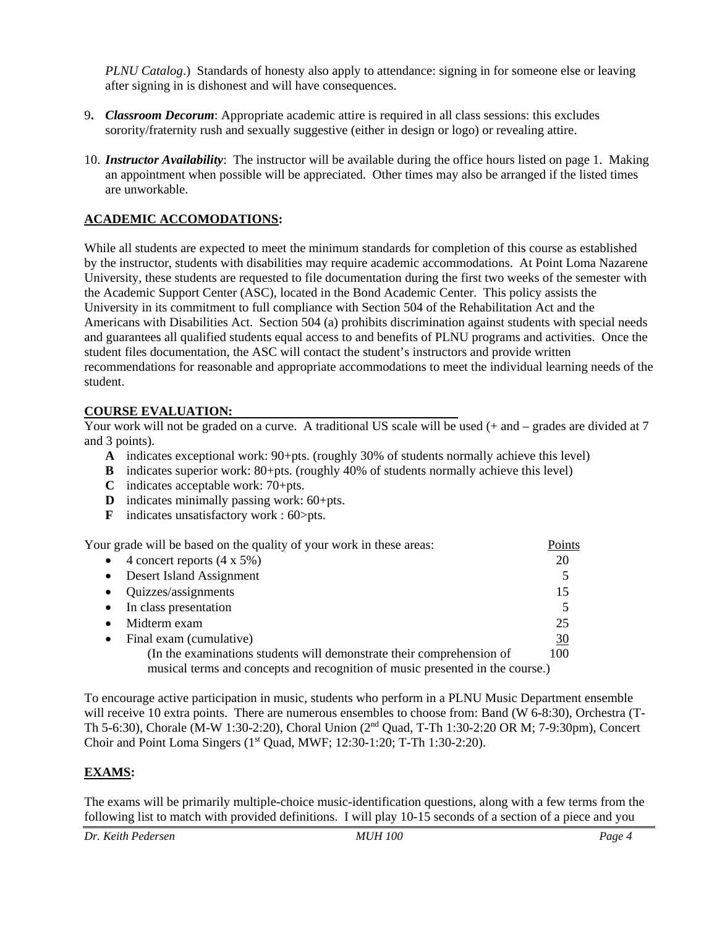*PLNU Catalog.*) Standards of honesty also apply to attendance: signing in for someone else or leaving after signing in is dishonest and will have consequences.

- 9**.** *Classroom Decorum*: Appropriate academic attire is required in all class sessions: this excludes sorority/fraternity rush and sexually suggestive (either in design or logo) or revealing attire.
- 10. *Instructor Availability*: The instructor will be available during the office hours listed on page 1. Making an appointment when possible will be appreciated. Other times may also be arranged if the listed times are unworkable.

## **ACADEMIC ACCOMODATIONS:**

While all students are expected to meet the minimum standards for completion of this course as established by the instructor, students with disabilities may require academic accommodations. At Point Loma Nazarene University, these students are requested to file documentation during the first two weeks of the semester with the Academic Support Center (ASC), located in the Bond Academic Center. This policy assists the University in its commitment to full compliance with Section 504 of the Rehabilitation Act and the Americans with Disabilities Act. Section 504 (a) prohibits discrimination against students with special needs and guarantees all qualified students equal access to and benefits of PLNU programs and activities. Once the student files documentation, the ASC will contact the student's instructors and provide written recommendations for reasonable and appropriate accommodations to meet the individual learning needs of the student.

## **COURSE EVALUATION:**

Your work will not be graded on a curve. A traditional US scale will be used (+ and – grades are divided at 7 and 3 points).

- **A** indicates exceptional work: 90+pts. (roughly 30% of students normally achieve this level)
- **B** indicates superior work: 80+pts. (roughly 40% of students normally achieve this level)
- **C** indicates acceptable work: 70+pts.
- **D** indicates minimally passing work: 60+pts.
- **F** indicates unsatisfactory work : 60>pts.

Your grade will be based on the quality of your work in these areas: Points • 4 concert reports  $(4 \times 5\%)$  20 • Desert Island Assignment 5 • Quizzes/assignments 15 • In class presentation 5 • Midterm exam 25 • Final exam (cumulative) 30 (In the examinations students will demonstrate their comprehension of 100 musical terms and concepts and recognition of music presented in the course.)

To encourage active participation in music, students who perform in a PLNU Music Department ensemble will receive 10 extra points. There are numerous ensembles to choose from: Band (W 6-8:30), Orchestra (T-Th 5-6:30), Chorale (M-W 1:30-2:20), Choral Union (2nd Quad, T-Th 1:30-2:20 OR M; 7-9:30pm), Concert Choir and Point Loma Singers  $(1<sup>st</sup> Quad, MWF; 12:30-1:20; T-Th 1:30-2:20)$ .

# **EXAMS:**

The exams will be primarily multiple-choice music-identification questions, along with a few terms from the following list to match with provided definitions. I will play 10-15 seconds of a section of a piece and you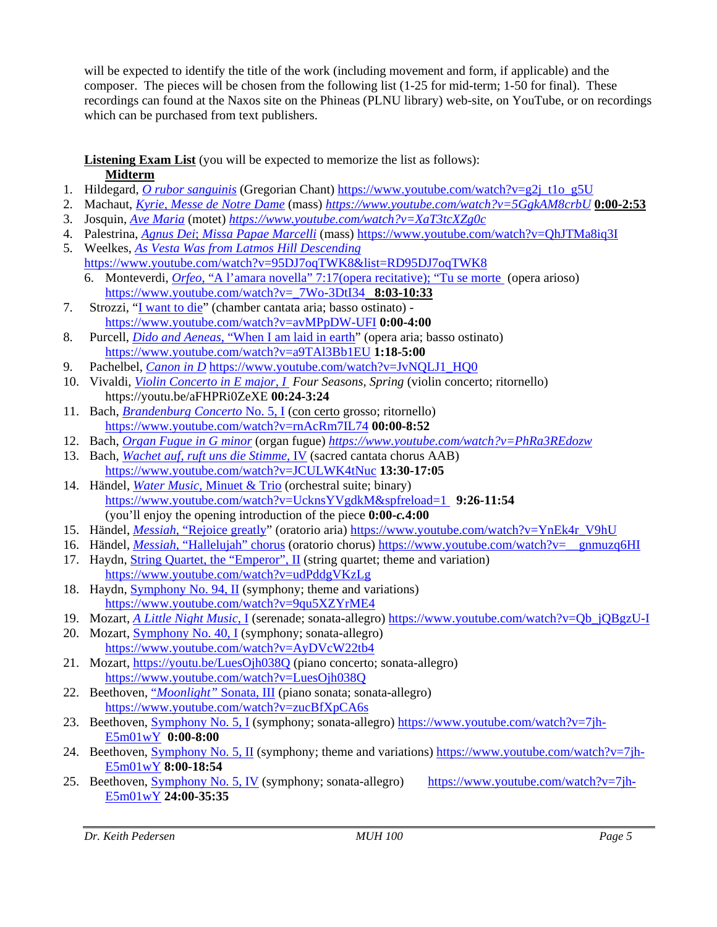will be expected to identify the title of the work (including movement and form, if applicable) and the composer. The pieces will be chosen from the following list (1-25 for mid-term; 1-50 for final). These recordings can found at the Naxos site on the Phineas (PLNU library) web-site, on YouTube, or on recordings which can be purchased from text publishers.

# **Listening Exam List** (you will be expected to memorize the list as follows): **Midterm**

- 1. Hildegard, *[O rubor sanguinis](https://www.youtube.com/watch?v=g2j_t1o_g5U)* (Gregorian Chant) [https://www.youtube.com/watch?v=g2j\\_t1o\\_g5U](https://www.youtube.com/watch?v=g2j_t1o_g5U)
- 2. Machaut, *[Kyrie, Messe de Notre Dame](https://www.youtube.com/watch?v=5GgkAM8crbU)* (mass) *<https://www.youtube.com/watch?v=5GgkAM8crbU>* **0:00-2:53**
- 3. Josquin, *[Ave Maria](https://www.youtube.com/watch?v=XaT3tcXZg0c)* (motet) *<https://www.youtube.com/watch?v=XaT3tcXZg0c>*
- 4. Palestrina, *Agnus Dei*; *[Missa Papae Marcelli](https://www.youtube.com/watch?v=QhJTMa8iq3I)* (mass) <https://www.youtube.com/watch?v=QhJTMa8iq3I>
- 5. Weelkes, *As Vesta Was from Latmos Hill Descending* <https://www.youtube.com/watch?v=95DJ7oqTWK8&list=RD95DJ7oqTWK8>
	- 6. Monteverdi, *Orfeo*, ["A l'amara novella" 7:17\(opera recitative\);](https://www.youtube.com/watch?v=_7Wo-3DtI34) "Tu se morte (opera arioso) [https://www.youtube.com/watch?v=\\_7Wo-3DtI34](https://www.youtube.com/watch?v=_7Wo-3DtI34) **8:03-10:33**
- 7. Strozzi, ["I want to die"](https://www.youtube.com/watch?v=avMPpDW-UFI) (chamber cantata aria; basso ostinato) <https://www.youtube.com/watch?v=avMPpDW-UFI> **0:00-4:00**
- 8. Purcell, *Dido and Aeneas*[, "When I am laid in earth"](https://www.youtube.com/watch?v=a9TAl3Bb1EU) (opera aria; basso ostinato) <https://www.youtube.com/watch?v=a9TAl3Bb1EU> **1:18-5:00**
- 9. Pachelbel, *[Canon in D](https://youtu.be/JvNQLJ1_HQ0)* [https://www.youtube.com/watch?v=JvNQLJ1\\_HQ0](https://www.youtube.com/watch?v=JvNQLJ1_HQ0)
- 10. Vivaldi, *[Violin Concerto in E major, I](https://youtu.be/aFHPRi0ZeXE) Four Seasons, Spring* (violin concerto; ritornello) https://youtu.be/aFHPRi0ZeXE **00:24-3:24**
- 11. Bach, *[Brandenburg Concerto](https://www.youtube.com/watch?v=rnAcRm7IL74)* No. 5, I (con certo grosso; ritornello) <https://www.youtube.com/watch?v=rnAcRm7IL74> **00:00-8:52**
- 12. Bach, *[Organ Fugue in G minor](https://www.youtube.com/watch?v=PhRa3REdozw)* (organ fugue) *<https://www.youtube.com/watch?v=PhRa3REdozw>*
- 13. Bach, *[Wachet auf, ruft uns die Stimme,](https://www.youtube.com/watch?v=JCULWK4tNuc)* IV (sacred cantata chorus AAB) <https://www.youtube.com/watch?v=JCULWK4tNuc> **13:30-17:05**
- 14. Händel, *Water Music*[, Minuet & Trio](https://www.youtube.com/watch?v=UcknsYVgdkM&spfreload=1) (orchestral suite; binary) [https://www.youtube.com/watch?v=UcknsYVgdkM&spfreload=1](https://www.youtube.com/watch?v=UcknsYVgdkM&spfreload=1%20) **9:26-11:54** (you'll enjoy the opening introduction of the piece **0:00-***c.***4:00**
- 15. Händel, *Messiah*[, "Rejoice greatly"](https://www.youtube.com/watch?v=YnEk4r_V9hU) (oratorio aria) [https://www.youtube.com/watch?v=YnEk4r\\_V9hU](https://www.youtube.com/watch?v=YnEk4r_V9hU)
- 16. Händel, *Messiah*[, "Hallelujah" chorus](https://www.youtube.com/watch?v=__gnmuzq6HI) (oratorio chorus) [https://www.youtube.com/watch?v=\\_\\_gnmuzq6HI](https://www.youtube.com/watch?v=__gnmuzq6HI)
- 17. Haydn, [String Quartet, the "Emperor", II](https://www.youtube.com/watch?v=udPddgVKzLg) (string quartet; theme and variation) <https://www.youtube.com/watch?v=udPddgVKzLg>
- 18. Haydn, [Symphony No. 94, II](https://www.youtube.com/watch?v=9qu5XZYrME4) (symphony; theme and variations) <https://www.youtube.com/watch?v=9qu5XZYrME4>

# 19. Mozart, *[A Little Night Music](https://www.youtube.com/watch?v=Qb_jQBgzU-I)*, I (serenade; sonata-allegro) [https://www.youtube.com/watch?v=Qb\\_jQBgzU-I](https://www.youtube.com/watch?v=Qb_jQBgzU-I)

- 20. Mozart, [Symphony No. 40, I](https://www.youtube.com/watch?v=AyDVcW22tb4) (symphony; sonata-allegro) <https://www.youtube.com/watch?v=AyDVcW22tb4>
- 21. Mozart, <https://youtu.be/LuesOjh038Q> (piano concerto; sonata-allegro) <https://www.youtube.com/watch?v=LuesOjh038Q>
- 22. Beethoven, "*[Moonlight"](https://www.youtube.com/watch?v=SrcOcKYQX3c)* Sonata, III (piano sonata; sonata-allegro) <https://www.youtube.com/watch?v=zucBfXpCA6s>
- 23. Beethoven, [Symphony No. 5, I](https://www.youtube.com/watch?v=7jh-E5m01wY) (symphony; sonata-allegro) [https://www.youtube.com/watch?v=7jh-](https://www.youtube.com/watch?v=7jh-E5m01wY)[E5m01wY](https://www.youtube.com/watch?v=7jh-E5m01wY) **0:00-8:00**
- 24. Beethoven, [Symphony No. 5, II](https://www.youtube.com/watch?v=7jh-E5m01wY) (symphony; theme and variations) [https://www.youtube.com/watch?v=7jh-](https://www.youtube.com/watch?v=7jh-E5m01wY)[E5m01wY](https://www.youtube.com/watch?v=7jh-E5m01wY) **8:00-18:54**
- 25. Beethoven, [Symphony No. 5, IV](https://www.youtube.com/watch?v=7jh-E5m01wY) (symphony; sonata-allegro) [https://www.youtube.com/watch?v=7jh-](https://www.youtube.com/watch?v=7jh-E5m01wY)[E5m01wY](https://www.youtube.com/watch?v=7jh-E5m01wY) **24:00-35:35**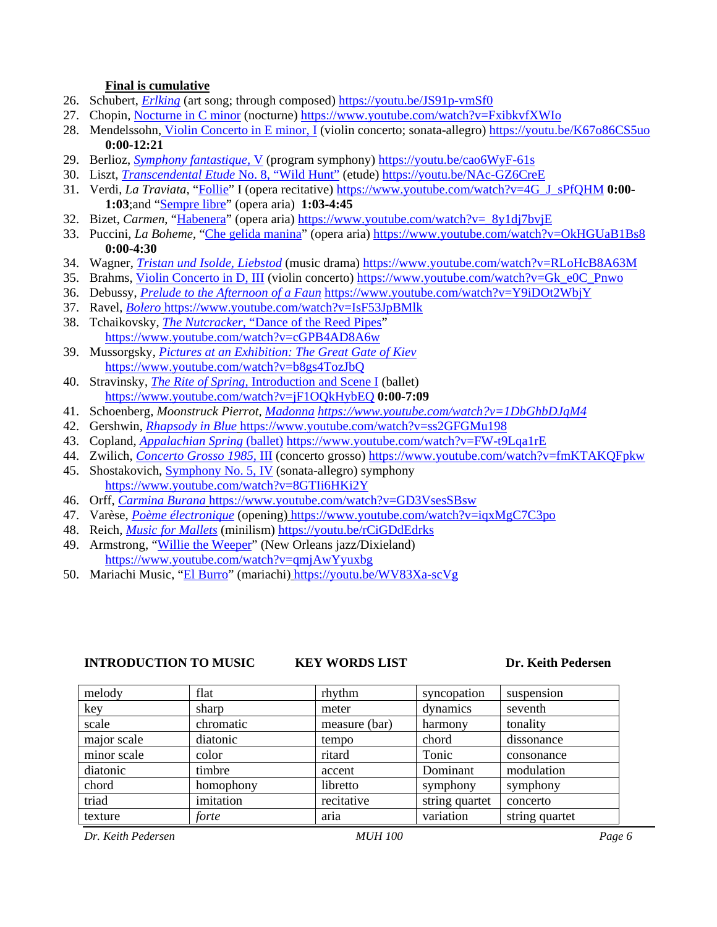#### **Final is cumulative**

- 26. Schubert, *[Erlking](https://youtu.be/JS91p-vmSf0)* (art song; through composed) <https://youtu.be/JS91p-vmSf0>
- 27. Chopin, [Nocturne in C](https://www.youtube.com/watch?v=FxibkvfXWIo) minor (nocturne) <https://www.youtube.com/watch?v=FxibkvfXWIo>
- 28. Mendelssohn, [Violin Concerto in E minor, I](https://youtu.be/K67o86CS5uo) (violin concerto; sonata-allegro) <https://youtu.be/K67o86CS5uo> **0:00-12:21**
- 29. Berlioz, *[Symphony fantastique,](https://youtu.be/cao6WyF-61s)* V (program symphony) <https://youtu.be/cao6WyF-61s>
- 30. Liszt, *[Transcendental Etude](https://youtu.be/NAc-GZ6CreE)* No. 8, "Wild Hunt" (etude) <https://youtu.be/NAc-GZ6CreE>
- 31. Verdi, *La Traviata,* ["Follie"](https://www.youtube.com/watch?v=4G_J_sPfQHM) I (opera recitative) [https://www.youtube.com/watch?v=4G\\_J\\_sPfQHM](https://www.youtube.com/watch?v=4G_J_sPfQHM) **0:00- 1:03**;and ["Sempre](https://www.youtube.com/watch?v=4G_J_sPfQHM) libre" (opera aria) **1:03-4:45**
- 32. Bizet, *Carmen*, ["Habenera"](https://www.youtube.com/watch?v=_8y1dj7bvjE) (opera aria) https://www.youtube.com/watch?v= 8y1dj7bvjE
- 33. Puccini, *La Boheme*, "Che [gelida manina"](https://www.youtube.com/watch?v=OkHGUaB1Bs8) (opera aria) <https://www.youtube.com/watch?v=OkHGUaB1Bs8> **0:00-4:30**
- 34. Wagner, *[Tristan und Isolde, Liebstod](https://www.youtube.com/watch?v=RLoHcB8A63M)* (music drama) <https://www.youtube.com/watch?v=RLoHcB8A63M>
- 35. Brahms, [Violin Concerto in D, III](https://www.youtube.com/watch?v=Gk_e0C_Pnwo) (violin concerto) [https://www.youtube.com/watch?v=Gk\\_e0C\\_Pnwo](https://www.youtube.com/watch?v=Gk_e0C_Pnwo)
- 36. Debussy, *Prelude to [the Afternoon of a Faun](https://www.youtube.com/watch?v=Y9iDOt2WbjY)* <https://www.youtube.com/watch?v=Y9iDOt2WbjY>
- 37. Ravel, *[Bolero](https://www.youtube.com/watch?v=IsF53JpBMlk)* <https://www.youtube.com/watch?v=IsF53JpBMlk>
- 38. Tchaikovsky, *[The Nutcracker](https://www.youtube.com/watch?v=cGPB4AD8A6w)*, "Dance of the Reed Pipes" <https://www.youtube.com/watch?v=cGPB4AD8A6w>
- 39. Mussorgsky, *[Pictures at an Exhibition: The Great Gate of Kiev](https://www.youtube.com/watch?v=b8gs4TozJbQ)* <https://www.youtube.com/watch?v=b8gs4TozJbQ>
- 40. Stravinsky, *The Rite of Spring,* [Introduction and Scene I](https://www.youtube.com/watch?v=jF1OQkHybEQ) (ballet) <https://www.youtube.com/watch?v=jF1OQkHybEQ> **0:00-7:09**
- 41. Schoenberg, *Moonstruck Pierrot, [Madonna](https://www.youtube.com/watch?v=1DbGhbDJqM4) <https://www.youtube.com/watch?v=1DbGhbDJqM4>*
- 42. Gershwin, *[Rhapsody in Blue](https://www.youtube.com/watch?v=ss2GFGMu198)* <https://www.youtube.com/watch?v=ss2GFGMu198>
- 43. Copland, *[Appalachian Spring](https://www.youtube.com/watch?v=FW-t9Lqa1rE)* (ballet) <https://www.youtube.com/watch?v=FW-t9Lqa1rE>
- 44. Zwilich, *[Concerto Grosso 1985,](https://www.youtube.com/watch?v=fmKTAKQFpkw)* III (concerto grosso) <https://www.youtube.com/watch?v=fmKTAKQFpkw>
- 45. Shostakovich, [Symphony No. 5, IV](https://www.youtube.com/watch?v=8GTIi6HKi2Y) (sonata-allegro) symphony <https://www.youtube.com/watch?v=8GTIi6HKi2Y>
- 46. Orff, *[Carmina Burana](https://www.youtube.com/watch?v=GD3VsesSBsw)* <https://www.youtube.com/watch?v=GD3VsesSBsw>
- 47. Varèse, *[Poème électronique](https://www.youtube.com/watch?v=iqxMgC7C3po)* (opening) <https://www.youtube.com/watch?v=iqxMgC7C3po>
- 48. Reich, *[Music for Mallets](https://youtu.be/rCiGDdEdrks)* (minilism) <https://youtu.be/rCiGDdEdrks>
- 49. Armstrong, ["Willie the Weeper"](https://www.youtube.com/watch?v=qmjAwYyuxbg) (New Orleans jazz/Dixieland) <https://www.youtube.com/watch?v=qmjAwYyuxbg>
- 50. Mariachi Music, ["El Burro"](https://youtu.be/WV83Xa-scVg) (mariachi) <https://youtu.be/WV83Xa-scVg>

#### **INTRODUCTION TO MUSIC KEY WORDS LIST Dr. Keith Pedersen**

| melody      | flat      | rhythm        | syncopation    | suspension     |  |
|-------------|-----------|---------------|----------------|----------------|--|
| key         | sharp     | meter         | dynamics       | seventh        |  |
| scale       | chromatic | measure (bar) | harmony        | tonality       |  |
| major scale | diatonic  | tempo         | chord          | dissonance     |  |
| minor scale | color     | ritard        | Tonic          | consonance     |  |
| diatonic    | timbre    | accent        | Dominant       | modulation     |  |
| chord       | homophony | libretto      | symphony       | symphony       |  |
| triad       | imitation | recitative    | string quartet | concerto       |  |
| texture     | forte     | aria          | variation      | string quartet |  |

*Dr. Keith Pedersen MUH 100 Page 6*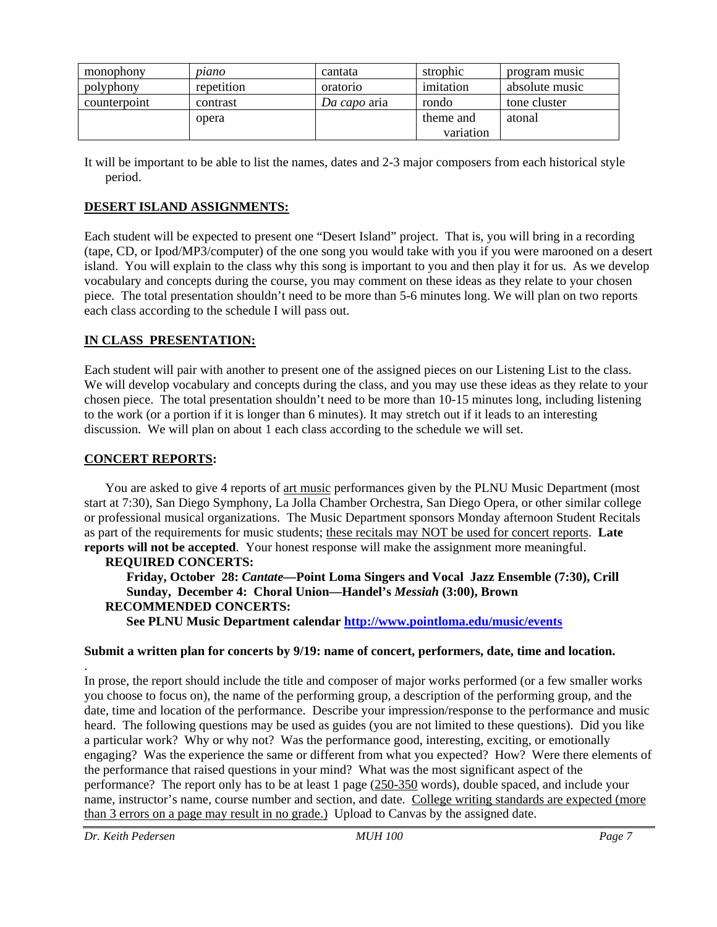| monophony    | piano      | cantata      | strophic  | program music  |
|--------------|------------|--------------|-----------|----------------|
| polyphony    | repetition | oratorio     | imitation | absolute music |
| counterpoint | contrast   | Da capo aria | rondo     | tone cluster   |
|              | opera      |              | theme and | atonal         |
|              |            |              | variation |                |

It will be important to be able to list the names, dates and 2-3 major composers from each historical style period.

### **DESERT ISLAND ASSIGNMENTS:**

Each student will be expected to present one "Desert Island" project. That is, you will bring in a recording (tape, CD, or Ipod/MP3/computer) of the one song you would take with you if you were marooned on a desert island. You will explain to the class why this song is important to you and then play it for us. As we develop vocabulary and concepts during the course, you may comment on these ideas as they relate to your chosen piece. The total presentation shouldn't need to be more than 5-6 minutes long. We will plan on two reports each class according to the schedule I will pass out.

#### **IN CLASS PRESENTATION:**

Each student will pair with another to present one of the assigned pieces on our Listening List to the class. We will develop vocabulary and concepts during the class, and you may use these ideas as they relate to your chosen piece. The total presentation shouldn't need to be more than 10-15 minutes long, including listening to the work (or a portion if it is longer than 6 minutes). It may stretch out if it leads to an interesting discussion. We will plan on about 1 each class according to the schedule we will set.

#### **CONCERT REPORTS:**

You are asked to give 4 reports of art music performances given by the PLNU Music Department (most start at 7:30), San Diego Symphony, La Jolla Chamber Orchestra, San Diego Opera, or other similar college or professional musical organizations. The Music Department sponsors Monday afternoon Student Recitals as part of the requirements for music students; these recitals may NOT be used for concert reports. **Late reports will not be accepted**. Your honest response will make the assignment more meaningful.

#### **REQUIRED CONCERTS:**

**Friday, October 28:** *Cantate—***Point Loma Singers and Vocal Jazz Ensemble (7:30), Crill Sunday, December 4: Choral Union—Handel's** *Messiah* **(3:00), Brown RECOMMENDED CONCERTS:**

**See PLNU Music Department calendar<http://www.pointloma.edu/music/events>**

#### **Submit a written plan for concerts by 9/19: name of concert, performers, date, time and location.**

In prose, the report should include the title and composer of major works performed (or a few smaller works you choose to focus on), the name of the performing group, a description of the performing group, and the date, time and location of the performance. Describe your impression/response to the performance and music heard. The following questions may be used as guides (you are not limited to these questions). Did you like a particular work? Why or why not? Was the performance good, interesting, exciting, or emotionally engaging? Was the experience the same or different from what you expected? How? Were there elements of the performance that raised questions in your mind? What was the most significant aspect of the performance? The report only has to be at least 1 page (250-350 words), double spaced, and include your name, instructor's name, course number and section, and date. College writing standards are expected (more than 3 errors on a page may result in no grade.) Upload to Canvas by the assigned date.

.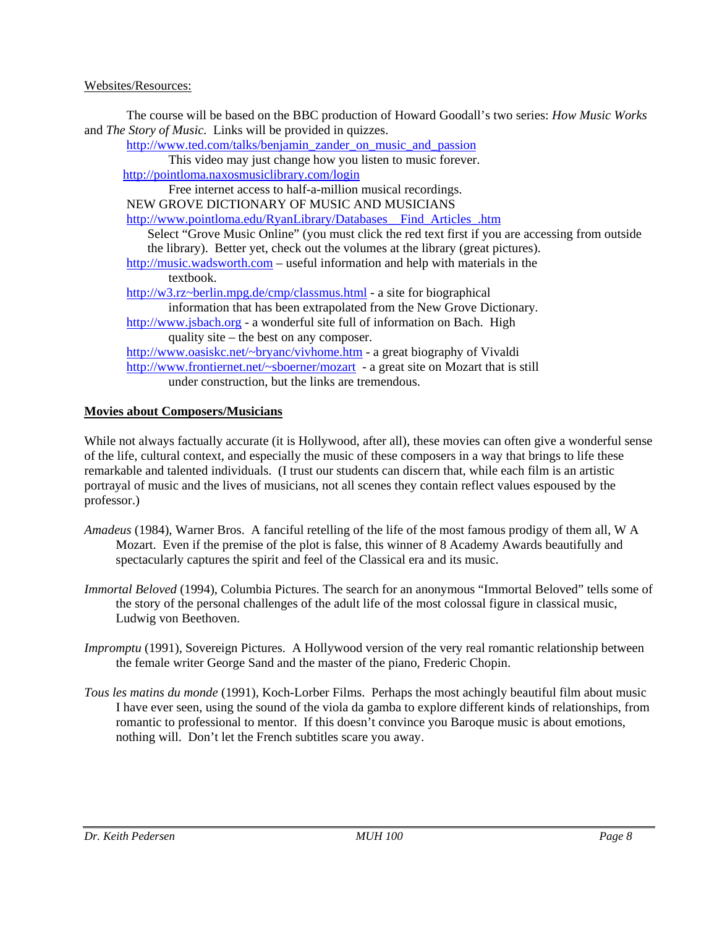### Websites/Resources:

The course will be based on the BBC production of Howard Goodall's two series: *How Music Works* and *The Story of Music.* Links will be provided in quizzes.

[http://www.ted.com/talks/benjamin\\_zander\\_on\\_music\\_and\\_passion](http://www.ted.com/talks/benjamin_zander_on_music_and_passion)

This video may just change how you listen to music forever.

<http://pointloma.naxosmusiclibrary.com/login>

Free internet access to half-a-million musical recordings.

NEW GROVE DICTIONARY OF MUSIC AND MUSICIANS

[http://www.pointloma.edu/RyanLibrary/Databases\\_\\_Find\\_Articles\\_.htm](http://www.pointloma.edu/RyanLibrary/Databases__Find_Articles_.htm)

Select "Grove Music Online" (you must click the red text first if you are accessing from outside the library). Better yet, check out the volumes at the library (great pictures).

[http://music.wadsworth.com](http://music.wadsworth.com/) – useful information and help with materials in the textbook.

[http://w3.rz~berlin.mpg.de/cmp/classmus.html](http://w3.rz%7Eberlin.mpg.de/cmp/classmus.html) - a site for biographical

information that has been extrapolated from the New Grove Dictionary*.*

[http://www.jsbach.org](http://www.jsbach.org/) - a wonderful site full of information on Bach. High quality site – the best on any composer.

[http://www.oasiskc.net/~bryanc/vivhome.htm](http://www.oasiskc.net/%7Ebryanc/vivhome.htm) - a great biography of Vivaldi [http://www.frontiernet.net/~sboerner/mozart](http://www.frontiernet.net/%7Esboerner/mozart) - a great site on Mozart that is still under construction, but the links are tremendous.

# **Movies about Composers/Musicians**

While not always factually accurate (it is Hollywood, after all), these movies can often give a wonderful sense of the life, cultural context, and especially the music of these composers in a way that brings to life these remarkable and talented individuals. (I trust our students can discern that, while each film is an artistic portrayal of music and the lives of musicians, not all scenes they contain reflect values espoused by the professor.)

- *Amadeus* (1984), Warner Bros. A fanciful retelling of the life of the most famous prodigy of them all, W A Mozart. Even if the premise of the plot is false, this winner of 8 Academy Awards beautifully and spectacularly captures the spirit and feel of the Classical era and its music.
- *Immortal Beloved* (1994), Columbia Pictures. The search for an anonymous "Immortal Beloved" tells some of the story of the personal challenges of the adult life of the most colossal figure in classical music, Ludwig von Beethoven.
- *Impromptu* (1991), Sovereign Pictures. A Hollywood version of the very real romantic relationship between the female writer George Sand and the master of the piano, Frederic Chopin.
- *Tous les matins du monde* (1991), Koch-Lorber Films. Perhaps the most achingly beautiful film about music I have ever seen, using the sound of the viola da gamba to explore different kinds of relationships, from romantic to professional to mentor. If this doesn't convince you Baroque music is about emotions, nothing will. Don't let the French subtitles scare you away.